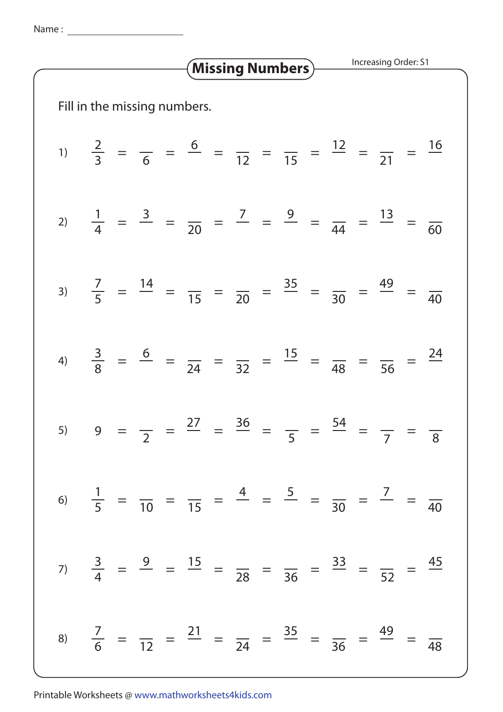Name: